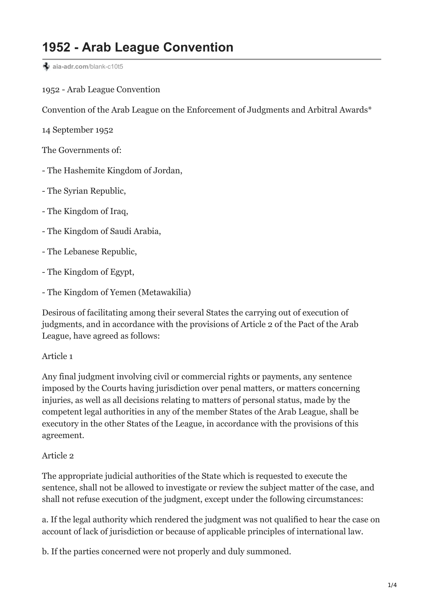# **1952 - Arab League Convention**

 $\triangleq$  [aia-adr.com](https://www.aia-adr.com/blank-c10t5)/blank-c10t5

1952 - Arab League Convention

Convention of the Arab League on the Enforcement of Judgments and Arbitral Awards\*

14 September 1952

The Governments of:

- The Hashemite Kingdom of Jordan,

- The Syrian Republic,

- The Kingdom of Iraq,

- The Kingdom of Saudi Arabia,

- The Lebanese Republic,

- The Kingdom of Egypt,

- The Kingdom of Yemen (Metawakilia)

Desirous of facilitating among their several States the carrying out of execution of judgments, and in accordance with the provisions of Article 2 of the Pact of the Arab League, have agreed as follows:

Article 1

Any final judgment involving civil or commercial rights or payments, any sentence imposed by the Courts having jurisdiction over penal matters, or matters concerning injuries, as well as all decisions relating to matters of personal status, made by the competent legal authorities in any of the member States of the Arab League, shall be executory in the other States of the League, in accordance with the provisions of this agreement.

#### Article 2

The appropriate judicial authorities of the State which is requested to execute the sentence, shall not be allowed to investigate or review the subject matter of the case, and shall not refuse execution of the judgment, except under the following circumstances:

a. If the legal authority which rendered the judgment was not qualified to hear the case on account of lack of jurisdiction or because of applicable principles of international law.

b. If the parties concerned were not properly and duly summoned.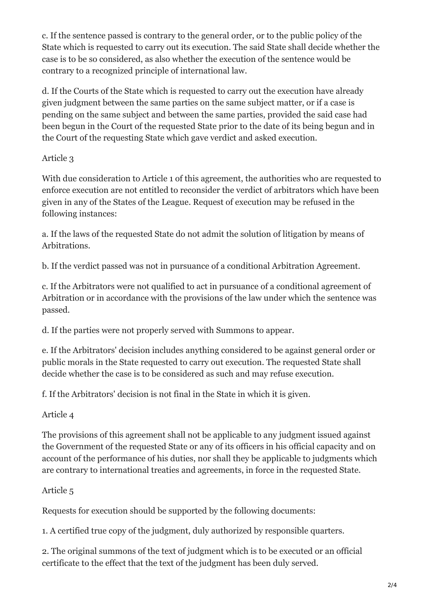c. If the sentence passed is contrary to the general order, or to the public policy of the State which is requested to carry out its execution. The said State shall decide whether the case is to be so considered, as also whether the execution of the sentence would be contrary to a recognized principle of international law.

d. If the Courts of the State which is requested to carry out the execution have already given judgment between the same parties on the same subject matter, or if a case is pending on the same subject and between the same parties, provided the said case had been begun in the Court of the requested State prior to the date of its being begun and in the Court of the requesting State which gave verdict and asked execution.

## Article 3

With due consideration to Article 1 of this agreement, the authorities who are requested to enforce execution are not entitled to reconsider the verdict of arbitrators which have been given in any of the States of the League. Request of execution may be refused in the following instances:

a. If the laws of the requested State do not admit the solution of litigation by means of Arbitrations.

b. If the verdict passed was not in pursuance of a conditional Arbitration Agreement.

c. If the Arbitrators were not qualified to act in pursuance of a conditional agreement of Arbitration or in accordance with the provisions of the law under which the sentence was passed.

d. If the parties were not properly served with Summons to appear.

e. If the Arbitrators' decision includes anything considered to be against general order or public morals in the State requested to carry out execution. The requested State shall decide whether the case is to be considered as such and may refuse execution.

f. If the Arbitrators' decision is not final in the State in which it is given.

Article 4

The provisions of this agreement shall not be applicable to any judgment issued against the Government of the requested State or any of its officers in his official capacity and on account of the performance of his duties, nor shall they be applicable to judgments which are contrary to international treaties and agreements, in force in the requested State.

# Article 5

Requests for execution should be supported by the following documents:

1. A certified true copy of the judgment, duly authorized by responsible quarters.

2. The original summons of the text of judgment which is to be executed or an official certificate to the effect that the text of the judgment has been duly served.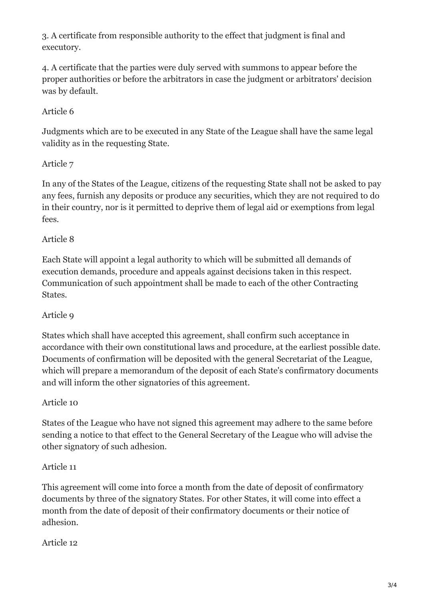3. A certificate from responsible authority to the effect that judgment is final and executory.

4. A certificate that the parties were duly served with summons to appear before the proper authorities or before the arbitrators in case the judgment or arbitrators' decision was by default.

# Article 6

Judgments which are to be executed in any State of the League shall have the same legal validity as in the requesting State.

### Article 7

In any of the States of the League, citizens of the requesting State shall not be asked to pay any fees, furnish any deposits or produce any securities, which they are not required to do in their country, nor is it permitted to deprive them of legal aid or exemptions from legal fees.

### Article 8

Each State will appoint a legal authority to which will be submitted all demands of execution demands, procedure and appeals against decisions taken in this respect. Communication of such appointment shall be made to each of the other Contracting States.

### Article 9

States which shall have accepted this agreement, shall confirm such acceptance in accordance with their own constitutional laws and procedure, at the earliest possible date. Documents of confirmation will be deposited with the general Secretariat of the League, which will prepare a memorandum of the deposit of each State's confirmatory documents and will inform the other signatories of this agreement.

### Article 10

States of the League who have not signed this agreement may adhere to the same before sending a notice to that effect to the General Secretary of the League who will advise the other signatory of such adhesion.

### Article 11

This agreement will come into force a month from the date of deposit of confirmatory documents by three of the signatory States. For other States, it will come into effect a month from the date of deposit of their confirmatory documents or their notice of adhesion.

### Article 12